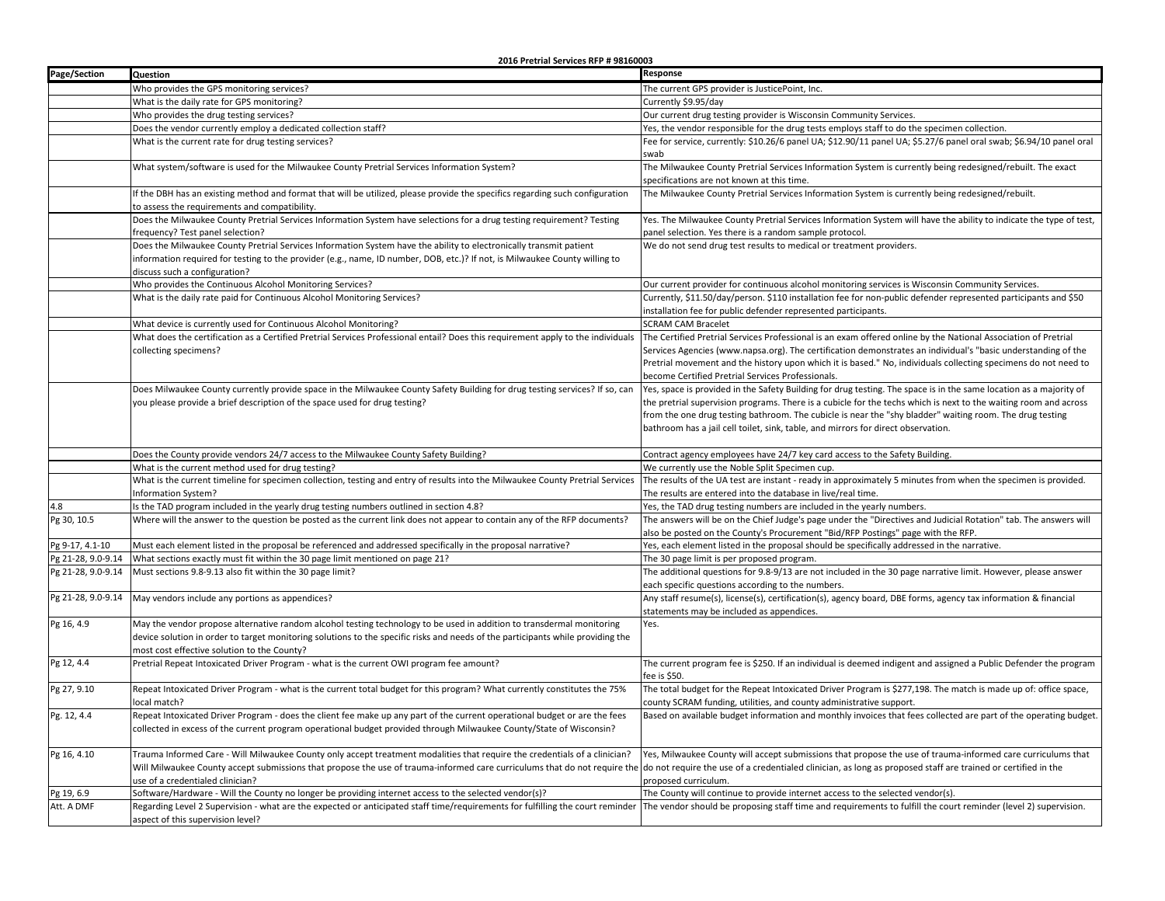**2016 Pretrial Services RFP # 98160003**

| Page/Section       | <b>Question</b>                                                                                                                                                                                                                                                                                         | Response                                                                                                                                                                                                                                             |
|--------------------|---------------------------------------------------------------------------------------------------------------------------------------------------------------------------------------------------------------------------------------------------------------------------------------------------------|------------------------------------------------------------------------------------------------------------------------------------------------------------------------------------------------------------------------------------------------------|
|                    | Who provides the GPS monitoring services?                                                                                                                                                                                                                                                               | The current GPS provider is JusticePoint, Inc.                                                                                                                                                                                                       |
|                    | What is the daily rate for GPS monitoring?                                                                                                                                                                                                                                                              | Currently \$9.95/day                                                                                                                                                                                                                                 |
|                    | Who provides the drug testing services?                                                                                                                                                                                                                                                                 | Our current drug testing provider is Wisconsin Community Services.                                                                                                                                                                                   |
|                    | Does the vendor currently employ a dedicated collection staff?                                                                                                                                                                                                                                          | Yes, the vendor responsible for the drug tests employs staff to do the specimen collection.                                                                                                                                                          |
|                    | What is the current rate for drug testing services?                                                                                                                                                                                                                                                     | Fee for service, currently: \$10.26/6 panel UA; \$12.90/11 panel UA; \$5.27/6 panel oral swab; \$6.94/10 panel oral<br>swab                                                                                                                          |
|                    | What system/software is used for the Milwaukee County Pretrial Services Information System?                                                                                                                                                                                                             | The Milwaukee County Pretrial Services Information System is currently being redesigned/rebuilt. The exact<br>specifications are not known at this time.                                                                                             |
|                    | If the DBH has an existing method and format that will be utilized, please provide the specifics regarding such configuration                                                                                                                                                                           | The Milwaukee County Pretrial Services Information System is currently being redesigned/rebuilt.                                                                                                                                                     |
|                    | to assess the requirements and compatibility.                                                                                                                                                                                                                                                           |                                                                                                                                                                                                                                                      |
|                    | Does the Milwaukee County Pretrial Services Information System have selections for a drug testing requirement? Testing                                                                                                                                                                                  | Yes. The Milwaukee County Pretrial Services Information System will have the ability to indicate the type of test,                                                                                                                                   |
|                    | frequency? Test panel selection?                                                                                                                                                                                                                                                                        | banel selection. Yes there is a random sample protocol.                                                                                                                                                                                              |
|                    | Does the Milwaukee County Pretrial Services Information System have the ability to electronically transmit patient<br>information required for testing to the provider (e.g., name, ID number, DOB, etc.)? If not, is Milwaukee County willing to<br>discuss such a configuration?                      | We do not send drug test results to medical or treatment providers.                                                                                                                                                                                  |
|                    | Who provides the Continuous Alcohol Monitoring Services?                                                                                                                                                                                                                                                | Our current provider for continuous alcohol monitoring services is Wisconsin Community Services.                                                                                                                                                     |
|                    | What is the daily rate paid for Continuous Alcohol Monitoring Services?                                                                                                                                                                                                                                 | Currently, \$11.50/day/person. \$110 installation fee for non-public defender represented participants and \$50                                                                                                                                      |
|                    |                                                                                                                                                                                                                                                                                                         | installation fee for public defender represented participants.                                                                                                                                                                                       |
|                    | What device is currently used for Continuous Alcohol Monitoring?                                                                                                                                                                                                                                        | <b>SCRAM CAM Bracelet</b>                                                                                                                                                                                                                            |
|                    | What does the certification as a Certified Pretrial Services Professional entail? Does this requirement apply to the individuals<br>collecting specimens?                                                                                                                                               | The Certified Pretrial Services Professional is an exam offered online by the National Association of Pretrial<br>Services Agencies (www.napsa.org). The certification demonstrates an individual's "basic understanding of the                      |
|                    |                                                                                                                                                                                                                                                                                                         | Pretrial movement and the history upon which it is based." No, individuals collecting specimens do not need to                                                                                                                                       |
|                    |                                                                                                                                                                                                                                                                                                         | become Certified Pretrial Services Professionals.                                                                                                                                                                                                    |
|                    | Does Milwaukee County currently provide space in the Milwaukee County Safety Building for drug testing services? If so, can                                                                                                                                                                             | Yes, space is provided in the Safety Building for drug testing. The space is in the same location as a majority of                                                                                                                                   |
|                    | you please provide a brief description of the space used for drug testing?                                                                                                                                                                                                                              | the pretrial supervision programs. There is a cubicle for the techs which is next to the waiting room and across                                                                                                                                     |
|                    |                                                                                                                                                                                                                                                                                                         | from the one drug testing bathroom. The cubicle is near the "shy bladder" waiting room. The drug testing                                                                                                                                             |
|                    |                                                                                                                                                                                                                                                                                                         | bathroom has a jail cell toilet, sink, table, and mirrors for direct observation.                                                                                                                                                                    |
|                    | Does the County provide vendors 24/7 access to the Milwaukee County Safety Building?                                                                                                                                                                                                                    | Contract agency employees have 24/7 key card access to the Safety Building.                                                                                                                                                                          |
|                    | What is the current method used for drug testing?                                                                                                                                                                                                                                                       | We currently use the Noble Split Specimen cup.                                                                                                                                                                                                       |
|                    | What is the current timeline for specimen collection, testing and entry of results into the Milwaukee County Pretrial Services                                                                                                                                                                          | The results of the UA test are instant - ready in approximately 5 minutes from when the specimen is provided.                                                                                                                                        |
|                    | Information System?                                                                                                                                                                                                                                                                                     | The results are entered into the database in live/real time.                                                                                                                                                                                         |
| 4.8                | Is the TAD program included in the yearly drug testing numbers outlined in section 4.8?                                                                                                                                                                                                                 | Yes, the TAD drug testing numbers are included in the yearly numbers.                                                                                                                                                                                |
| Pg 30, 10.5        | Where will the answer to the question be posted as the current link does not appear to contain any of the RFP documents?                                                                                                                                                                                | The answers will be on the Chief Judge's page under the "Directives and Judicial Rotation" tab. The answers will<br>also be posted on the County's Procurement "Bid/RFP Postings" page with the RFP.                                                 |
| Pg 9-17, 4.1-10    | Must each element listed in the proposal be referenced and addressed specifically in the proposal narrative?                                                                                                                                                                                            | Yes, each element listed in the proposal should be specifically addressed in the narrative.                                                                                                                                                          |
| Pg 21-28, 9.0-9.14 | What sections exactly must fit within the 30 page limit mentioned on page 21?                                                                                                                                                                                                                           | The 30 page limit is per proposed program.                                                                                                                                                                                                           |
| Pg 21-28, 9.0-9.14 | Must sections 9.8-9.13 also fit within the 30 page limit?                                                                                                                                                                                                                                               | The additional questions for 9.8-9/13 are not included in the 30 page narrative limit. However, please answer                                                                                                                                        |
|                    |                                                                                                                                                                                                                                                                                                         | each specific questions according to the numbers.                                                                                                                                                                                                    |
| Pg 21-28, 9.0-9.14 | May vendors include any portions as appendices?                                                                                                                                                                                                                                                         | Any staff resume(s), license(s), certification(s), agency board, DBE forms, agency tax information & financial<br>statements may be included as appendices.                                                                                          |
| Pg 16, 4.9         | May the vendor propose alternative random alcohol testing technology to be used in addition to transdermal monitoring<br>device solution in order to target monitoring solutions to the specific risks and needs of the participants while providing the<br>most cost effective solution to the County? | Yes.                                                                                                                                                                                                                                                 |
| Pg 12, 4.4         | Pretrial Repeat Intoxicated Driver Program - what is the current OWI program fee amount?                                                                                                                                                                                                                | The current program fee is \$250. If an individual is deemed indigent and assigned a Public Defender the program<br>fee is \$50.                                                                                                                     |
| Pg 27, 9.10        | Repeat Intoxicated Driver Program - what is the current total budget for this program? What currently constitutes the 75%                                                                                                                                                                               | The total budget for the Repeat Intoxicated Driver Program is \$277,198. The match is made up of: office space,                                                                                                                                      |
|                    | local match?                                                                                                                                                                                                                                                                                            | county SCRAM funding, utilities, and county administrative support.                                                                                                                                                                                  |
| Pg. 12, 4.4        | Repeat Intoxicated Driver Program - does the client fee make up any part of the current operational budget or are the fees<br>collected in excess of the current program operational budget provided through Milwaukee County/State of Wisconsin?                                                       | Based on available budget information and monthly invoices that fees collected are part of the operating budget.                                                                                                                                     |
| Pg 16, 4.10        | Trauma Informed Care - Will Milwaukee County only accept treatment modalities that require the credentials of a clinician?<br>Will Milwaukee County accept submissions that propose the use of trauma-informed care curriculums that do not require the<br>use of a credentialed clinician?             | Yes, Milwaukee County will accept submissions that propose the use of trauma-informed care curriculums that<br>do not require the use of a credentialed clinician, as long as proposed staff are trained or certified in the<br>proposed curriculum. |
| Pg 19, 6.9         | Software/Hardware - Will the County no longer be providing internet access to the selected vendor(s)?                                                                                                                                                                                                   | The County will continue to provide internet access to the selected vendor(s).                                                                                                                                                                       |
| Att. A DMF         | Regarding Level 2 Supervision - what are the expected or anticipated staff time/requirements for fulfilling the court reminder  The vendor should be proposing staff time and requirements to fulfill the court reminder (leve<br>aspect of this supervision level?                                     |                                                                                                                                                                                                                                                      |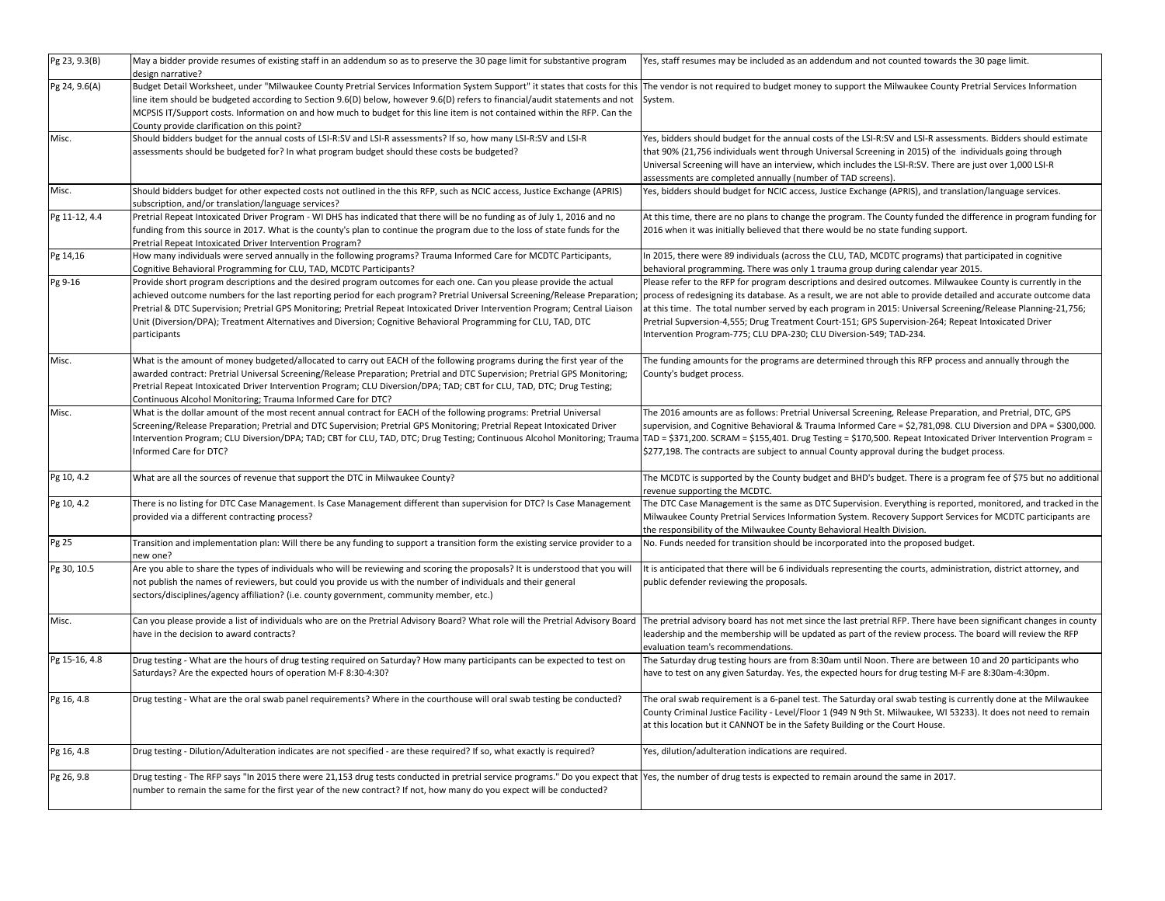| Pg 23, 9.3(B) | May a bidder provide resumes of existing staff in an addendum so as to preserve the 30 page limit for substantive program<br>design narrative?                                                                                                                                                                                                                                                                                                                                                                       | Yes, staff resumes may be included as an addendum and not counted towards the 30 page limit.                                                                                                                                                                                                                                                                                                                                                                                                                               |
|---------------|----------------------------------------------------------------------------------------------------------------------------------------------------------------------------------------------------------------------------------------------------------------------------------------------------------------------------------------------------------------------------------------------------------------------------------------------------------------------------------------------------------------------|----------------------------------------------------------------------------------------------------------------------------------------------------------------------------------------------------------------------------------------------------------------------------------------------------------------------------------------------------------------------------------------------------------------------------------------------------------------------------------------------------------------------------|
| Pg 24, 9.6(A) | Budget Detail Worksheet, under "Milwaukee County Pretrial Services Information System Support" it states that costs for this<br>line item should be budgeted according to Section 9.6(D) below, however 9.6(D) refers to financial/audit statements and not<br>MCPSIS IT/Support costs. Information on and how much to budget for this line item is not contained within the RFP. Can the<br>County provide clarification on this point?                                                                             | The vendor is not required to budget money to support the Milwaukee County Pretrial Services Information<br>System.                                                                                                                                                                                                                                                                                                                                                                                                        |
| Misc.         | Should bidders budget for the annual costs of LSI-R:SV and LSI-R assessments? If so, how many LSI-R:SV and LSI-R<br>assessments should be budgeted for? In what program budget should these costs be budgeted?                                                                                                                                                                                                                                                                                                       | Yes, bidders should budget for the annual costs of the LSI-R:SV and LSI-R assessments. Bidders should estimate<br>that 90% (21,756 individuals went through Universal Screening in 2015) of the individuals going through<br>Universal Screening will have an interview, which includes the LSI-R:SV. There are just over 1,000 LSI-R<br>assessments are completed annually (number of TAD screens).                                                                                                                       |
| Misc.         | Should bidders budget for other expected costs not outlined in the this RFP, such as NCIC access, Justice Exchange (APRIS)<br>subscription, and/or translation/language services?                                                                                                                                                                                                                                                                                                                                    | Yes, bidders should budget for NCIC access, Justice Exchange (APRIS), and translation/language services.                                                                                                                                                                                                                                                                                                                                                                                                                   |
| Pg 11-12, 4.4 | Pretrial Repeat Intoxicated Driver Program - WI DHS has indicated that there will be no funding as of July 1, 2016 and no<br>funding from this source in 2017. What is the county's plan to continue the program due to the loss of state funds for the<br>Pretrial Repeat Intoxicated Driver Intervention Program?                                                                                                                                                                                                  | At this time, there are no plans to change the program. The County funded the difference in program funding for<br>2016 when it was initially believed that there would be no state funding support.                                                                                                                                                                                                                                                                                                                       |
| Pg 14,16      | How many individuals were served annually in the following programs? Trauma Informed Care for MCDTC Participants,<br>Cognitive Behavioral Programming for CLU, TAD, MCDTC Participants?                                                                                                                                                                                                                                                                                                                              | In 2015, there were 89 individuals (across the CLU, TAD, MCDTC programs) that participated in cognitive<br>behavioral programming. There was only 1 trauma group during calendar year 2015.                                                                                                                                                                                                                                                                                                                                |
| Pg 9-16       | Provide short program descriptions and the desired program outcomes for each one. Can you please provide the actual<br>achieved outcome numbers for the last reporting period for each program? Pretrial Universal Screening/Release Preparation;<br>Pretrial & DTC Supervision; Pretrial GPS Monitoring; Pretrial Repeat Intoxicated Driver Intervention Program; Central Liaison<br>Unit (Diversion/DPA); Treatment Alternatives and Diversion; Cognitive Behavioral Programming for CLU, TAD, DTC<br>participants | Please refer to the RFP for program descriptions and desired outcomes. Milwaukee County is currently in the<br>process of redesigning its database. As a result, we are not able to provide detailed and accurate outcome data<br>at this time. The total number served by each program in 2015: Universal Screening/Release Planning-21,756;<br>Pretrial Supversion-4,555; Drug Treatment Court-151; GPS Supervision-264; Repeat Intoxicated Driver<br>Intervention Program-775; CLU DPA-230; CLU Diversion-549; TAD-234. |
| Misc.         | What is the amount of money budgeted/allocated to carry out EACH of the following programs during the first year of the<br>awarded contract: Pretrial Universal Screening/Release Preparation; Pretrial and DTC Supervision; Pretrial GPS Monitoring;<br>Pretrial Repeat Intoxicated Driver Intervention Program; CLU Diversion/DPA; TAD; CBT for CLU, TAD, DTC; Drug Testing;<br>Continuous Alcohol Monitoring; Trauma Informed Care for DTC?                                                                       | The funding amounts for the programs are determined through this RFP process and annually through the<br>County's budget process.                                                                                                                                                                                                                                                                                                                                                                                          |
| Misc.         | What is the dollar amount of the most recent annual contract for EACH of the following programs: Pretrial Universal<br>Screening/Release Preparation; Pretrial and DTC Supervision; Pretrial GPS Monitoring; Pretrial Repeat Intoxicated Driver<br>Intervention Program; CLU Diversion/DPA; TAD; CBT for CLU, TAD, DTC; Drug Testing; Continuous Alcohol Monitoring; Trauma TAD = \$371,200. SCRAM = \$155,401. Drug Testing = \$170,500. Repeat Intoxicated Driver Intervention Pro<br>Informed Care for DTC?       | The 2016 amounts are as follows: Pretrial Universal Screening, Release Preparation, and Pretrial, DTC, GPS<br>supervision, and Cognitive Behavioral & Trauma Informed Care = \$2,781,098. CLU Diversion and DPA = \$300,000.<br>\$277,198. The contracts are subject to annual County approval during the budget process.                                                                                                                                                                                                  |
| Pg 10, 4.2    | What are all the sources of revenue that support the DTC in Milwaukee County?                                                                                                                                                                                                                                                                                                                                                                                                                                        | The MCDTC is supported by the County budget and BHD's budget. There is a program fee of \$75 but no additional<br>revenue supporting the MCDTC.                                                                                                                                                                                                                                                                                                                                                                            |
| Pg 10, 4.2    | There is no listing for DTC Case Management. Is Case Management different than supervision for DTC? Is Case Management<br>provided via a different contracting process?                                                                                                                                                                                                                                                                                                                                              | The DTC Case Management is the same as DTC Supervision. Everything is reported, monitored, and tracked in the<br>Milwaukee County Pretrial Services Information System. Recovery Support Services for MCDTC participants are<br>the responsibility of the Milwaukee County Behavioral Health Division.                                                                                                                                                                                                                     |
| Pg 25         | Transition and implementation plan: Will there be any funding to support a transition form the existing service provider to a<br>new one?                                                                                                                                                                                                                                                                                                                                                                            | No. Funds needed for transition should be incorporated into the proposed budget.                                                                                                                                                                                                                                                                                                                                                                                                                                           |
| Pg 30, 10.5   | Are you able to share the types of individuals who will be reviewing and scoring the proposals? It is understood that you will<br>not publish the names of reviewers, but could you provide us with the number of individuals and their general<br>sectors/disciplines/agency affiliation? (i.e. county government, community member, etc.)                                                                                                                                                                          | It is anticipated that there will be 6 individuals representing the courts, administration, district attorney, and<br>public defender reviewing the proposals.                                                                                                                                                                                                                                                                                                                                                             |
| Misc.         | Can you please provide a list of individuals who are on the Pretrial Advisory Board? What role will the Pretrial Advisory Board<br>have in the decision to award contracts?                                                                                                                                                                                                                                                                                                                                          | The pretrial advisory board has not met since the last pretrial RFP. There have been significant changes in county<br>leadership and the membership will be updated as part of the review process. The board will review the RFP<br>evaluation team's recommendations.                                                                                                                                                                                                                                                     |
| Pg 15-16, 4.8 | Drug testing - What are the hours of drug testing required on Saturday? How many participants can be expected to test on<br>Saturdays? Are the expected hours of operation M-F 8:30-4:30?                                                                                                                                                                                                                                                                                                                            | The Saturday drug testing hours are from 8:30am until Noon. There are between 10 and 20 participants who<br>have to test on any given Saturday. Yes, the expected hours for drug testing M-F are 8:30am-4:30pm.                                                                                                                                                                                                                                                                                                            |
| Pg 16, 4.8    | Drug testing - What are the oral swab panel requirements? Where in the courthouse will oral swab testing be conducted?                                                                                                                                                                                                                                                                                                                                                                                               | The oral swab requirement is a 6-panel test. The Saturday oral swab testing is currently done at the Milwaukee<br>County Criminal Justice Facility - Level/Floor 1 (949 N 9th St. Milwaukee, WI 53233). It does not need to remain<br>at this location but it CANNOT be in the Safety Building or the Court House.                                                                                                                                                                                                         |
| Pg 16, 4.8    | Drug testing - Dilution/Adulteration indicates are not specified - are these required? If so, what exactly is required?                                                                                                                                                                                                                                                                                                                                                                                              | Yes, dilution/adulteration indications are required.                                                                                                                                                                                                                                                                                                                                                                                                                                                                       |
| Pg 26, 9.8    | Drug testing - The RFP says "In 2015 there were 21,153 drug tests conducted in pretrial service programs." Do you expect that  Yes, the number of drug tests is expected to remain around the same in 2017.<br>number to remain the same for the first year of the new contract? If not, how many do you expect will be conducted?                                                                                                                                                                                   |                                                                                                                                                                                                                                                                                                                                                                                                                                                                                                                            |